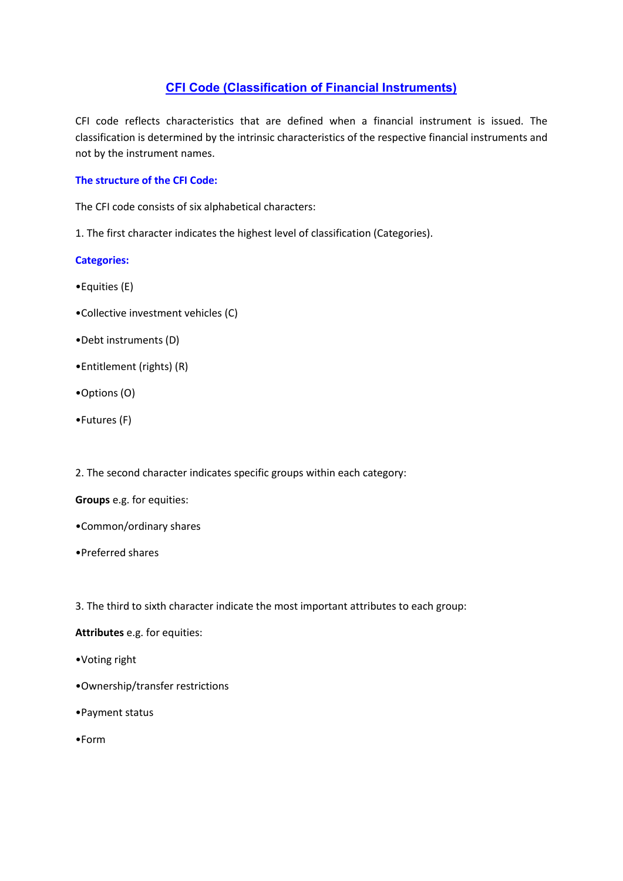# **CFI Code (Classification of Financial Instruments)**

CFI code reflects characteristics that are defined when a financial instrument is issued. The classification is determined by the intrinsic characteristics of the respective financial instruments and not by the instrument names.

## **The structure of the CFI Code:**

The CFI code consists of six alphabetical characters:

1. The first character indicates the highest level of classification (Categories).

## **Categories:**

- •Equities (E)
- •Collective investment vehicles (C)
- •Debt instruments (D)
- •Entitlement (rights) (R)
- •Options (O)
- •Futures (F)

2. The second character indicates specific groups within each category:

#### **Groups** e.g. for equities:

- •Common/ordinary shares
- •Preferred shares

3. The third to sixth character indicate the most important attributes to each group:

#### **Attributes** e.g. for equities:

- •Voting right
- •Ownership/transfer restrictions
- •Payment status
- •Form